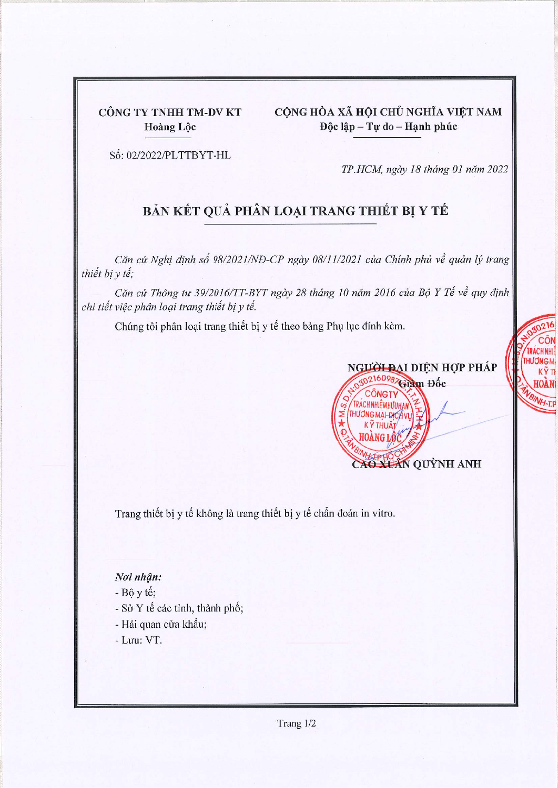CÔNG TY TNHH TM-DV KT Hoàng Lộc

CÔNG HÒA XÃ HỘI CHỦ NGHĨA VIỆT NAM Độc lập - Tự do - Hạnh phúc

Số: 02/2022/PLTTBYT-HL

TP.HCM, ngày 18 tháng 01 năm 2022

## BẢN KẾT QUẢ PHÂN LOẠI TRANG THIẾT BỊ Y TẾ

Căn cứ Nghị định số 98/2021/NĐ-CP ngày 08/11/2021 của Chính phủ về quản lý trang thiết bị y tế;

Căn cứ Thông tư 39/2016/TT-BYT ngày 28 tháng 10 năm 2016 của Bộ Y Tế về quy định chi tiết việc phân loại trang thiết bị y tế.

Chúng tôi phân loại trang thiết bị y tế theo bảng Phụ lục đính kèm.



**CHNH HUONGM** 

KŸ TI

**BINH-T.F** 

Trang thiết bị y tế không là trang thiết bị y tế chẩn đoán in vitro.

## Noi nhận:

 $- B \hat{\rho}$  y tế;

- Sở Y tế các tỉnh, thành phố;
- Hải quan cửa khẩu;
- Luu: VT.

Trang 1/2